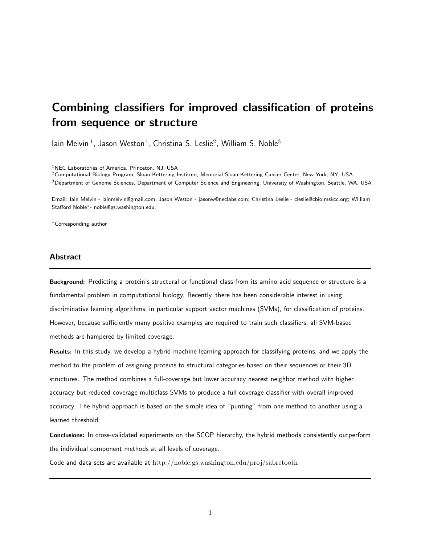# Combining classifiers for improved classification of proteins from sequence or structure

lain Melvin<sup>1</sup>, Jason Weston<sup>1</sup>, Christina S. Leslie<sup>2</sup>, William S. Noble<sup>3</sup>

<sup>1</sup>NEC Laboratories of America, Princeton, NJ, USA

 $2$ Computational Biology Program, Sloan-Kettering Institute, Memorial Sloan-Kettering Cancer Center, New York, NY, USA <sup>3</sup>Department of Genome Sciences, Department of Computer Science and Engineering, University of Washington, Seattle, WA, USA

Email: Iain Melvin - iainmelvin@gmail.com; Jason Weston - jasonw@neclabs.com; Christina Leslie - cleslie@cbio.mskcc.org; William Stafford Noble∗- noble@gs.washington.edu;

<sup>∗</sup>Corresponding author

## **Abstract**

Background: Predicting a protein's structural or functional class from its amino acid sequence or structure is a fundamental problem in computational biology. Recently, there has been considerable interest in using discriminative learning algorithms, in particular support vector machines (SVMs), for classification of proteins. However, because sufficiently many positive examples are required to train such classifiers, all SVM-based methods are hampered by limited coverage.

Results: In this study, we develop a hybrid machine learning approach for classifying proteins, and we apply the method to the problem of assigning proteins to structural categories based on their sequences or their 3D structures. The method combines a full-coverage but lower accuracy nearest neighbor method with higher accuracy but reduced coverage multiclass SVMs to produce a full coverage classifier with overall improved accuracy. The hybrid approach is based on the simple idea of "punting" from one method to another using a learned threshold.

Conclusions: In cross-validated experiments on the SCOP hierarchy, the hybrid methods consistently outperform the individual component methods at all levels of coverage.

Code and data sets are available at http://noble.gs.washington.edu/proj/sabretooth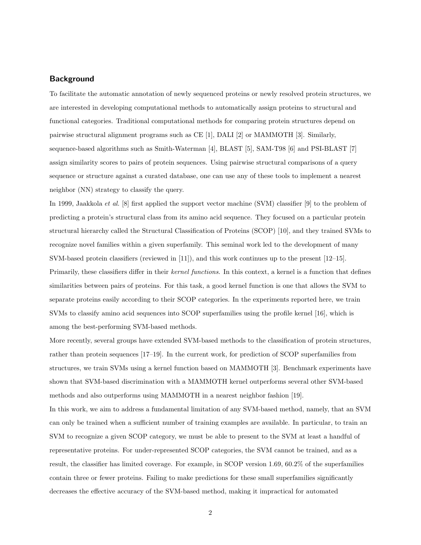## **Background**

To facilitate the automatic annotation of newly sequenced proteins or newly resolved protein structures, we are interested in developing computational methods to automatically assign proteins to structural and functional categories. Traditional computational methods for comparing protein structures depend on pairwise structural alignment programs such as CE [1], DALI [2] or MAMMOTH [3]. Similarly, sequence-based algorithms such as Smith-Waterman [4], BLAST [5], SAM-T98 [6] and PSI-BLAST [7] assign similarity scores to pairs of protein sequences. Using pairwise structural comparisons of a query sequence or structure against a curated database, one can use any of these tools to implement a nearest neighbor (NN) strategy to classify the query.

In 1999, Jaakkola et al. [8] first applied the support vector machine (SVM) classifier [9] to the problem of predicting a protein's structural class from its amino acid sequence. They focused on a particular protein structural hierarchy called the Structural Classification of Proteins (SCOP) [10], and they trained SVMs to recognize novel families within a given superfamily. This seminal work led to the development of many SVM-based protein classifiers (reviewed in [11]), and this work continues up to the present [12–15]. Primarily, these classifiers differ in their kernel functions. In this context, a kernel is a function that defines similarities between pairs of proteins. For this task, a good kernel function is one that allows the SVM to separate proteins easily according to their SCOP categories. In the experiments reported here, we train SVMs to classify amino acid sequences into SCOP superfamilies using the profile kernel [16], which is among the best-performing SVM-based methods.

More recently, several groups have extended SVM-based methods to the classification of protein structures, rather than protein sequences [17–19]. In the current work, for prediction of SCOP superfamilies from structures, we train SVMs using a kernel function based on MAMMOTH [3]. Benchmark experiments have shown that SVM-based discrimination with a MAMMOTH kernel outperforms several other SVM-based methods and also outperforms using MAMMOTH in a nearest neighbor fashion [19].

In this work, we aim to address a fundamental limitation of any SVM-based method, namely, that an SVM can only be trained when a sufficient number of training examples are available. In particular, to train an SVM to recognize a given SCOP category, we must be able to present to the SVM at least a handful of representative proteins. For under-represented SCOP categories, the SVM cannot be trained, and as a result, the classifier has limited coverage. For example, in SCOP version 1.69, 60.2% of the superfamilies contain three or fewer proteins. Failing to make predictions for these small superfamilies significantly decreases the effective accuracy of the SVM-based method, making it impractical for automated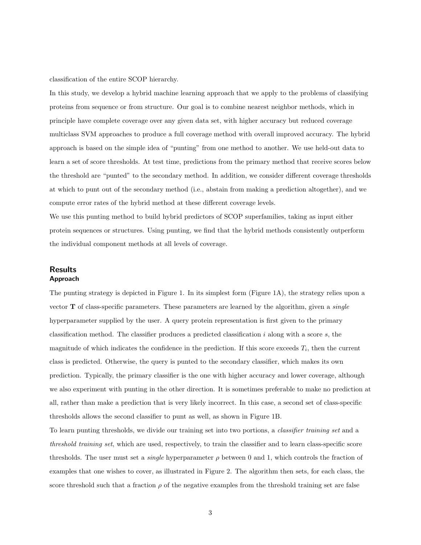classification of the entire SCOP hierarchy.

In this study, we develop a hybrid machine learning approach that we apply to the problems of classifying proteins from sequence or from structure. Our goal is to combine nearest neighbor methods, which in principle have complete coverage over any given data set, with higher accuracy but reduced coverage multiclass SVM approaches to produce a full coverage method with overall improved accuracy. The hybrid approach is based on the simple idea of "punting" from one method to another. We use held-out data to learn a set of score thresholds. At test time, predictions from the primary method that receive scores below the threshold are "punted" to the secondary method. In addition, we consider different coverage thresholds at which to punt out of the secondary method (i.e., abstain from making a prediction altogether), and we compute error rates of the hybrid method at these different coverage levels.

We use this punting method to build hybrid predictors of SCOP superfamilies, taking as input either protein sequences or structures. Using punting, we find that the hybrid methods consistently outperform the individual component methods at all levels of coverage.

## Results Approach

The punting strategy is depicted in Figure 1. In its simplest form (Figure 1A), the strategy relies upon a vector  **of class-specific parameters. These parameters are learned by the algorithm, given a** *single* hyperparameter supplied by the user. A query protein representation is first given to the primary classification method. The classifier produces a predicted classification  $i$  along with a score  $s$ , the magnitude of which indicates the confidence in the prediction. If this score exceeds  $T_i$ , then the current class is predicted. Otherwise, the query is punted to the secondary classifier, which makes its own prediction. Typically, the primary classifier is the one with higher accuracy and lower coverage, although we also experiment with punting in the other direction. It is sometimes preferable to make no prediction at all, rather than make a prediction that is very likely incorrect. In this case, a second set of class-specific thresholds allows the second classifier to punt as well, as shown in Figure 1B.

To learn punting thresholds, we divide our training set into two portions, a classifier training set and a threshold training set, which are used, respectively, to train the classifier and to learn class-specific score thresholds. The user must set a *single* hyperparameter  $\rho$  between 0 and 1, which controls the fraction of examples that one wishes to cover, as illustrated in Figure 2. The algorithm then sets, for each class, the score threshold such that a fraction  $\rho$  of the negative examples from the threshold training set are false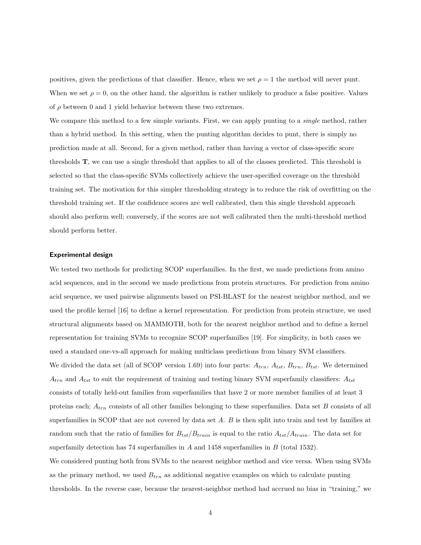positives, given the predictions of that classifier. Hence, when we set  $\rho = 1$  the method will never punt. When we set  $\rho = 0$ , on the other hand, the algorithm is rather unlikely to produce a false positive. Values of  $\rho$  between 0 and 1 yield behavior between these two extremes.

We compare this method to a few simple variants. First, we can apply punting to a *single* method, rather than a hybrid method. In this setting, when the punting algorithm decides to punt, there is simply no prediction made at all. Second, for a given method, rather than having a vector of class-specific score thresholds T, we can use a single threshold that applies to all of the classes predicted. This threshold is selected so that the class-specific SVMs collectively achieve the user-specified coverage on the threshold training set. The motivation for this simpler thresholding strategy is to reduce the risk of overfitting on the threshold training set. If the confidence scores are well calibrated, then this single threshold approach should also perform well; conversely, if the scores are not well calibrated then the multi-threshold method should perform better.

#### Experimental design

We tested two methods for predicting SCOP superfamilies. In the first, we made predictions from amino acid sequences, and in the second we made predictions from protein structures. For prediction from amino acid sequence, we used pairwise alignments based on PSI-BLAST for the nearest neighbor method, and we used the profile kernel [16] to define a kernel representation. For prediction from protein structure, we used structural alignments based on MAMMOTH, both for the nearest neighbor method and to define a kernel representation for training SVMs to recognize SCOP superfamilies [19]. For simplicity, in both cases we used a standard one-vs-all approach for making multiclass predictions from binary SVM classifiers. We divided the data set (all of SCOP version 1.69) into four parts:  $A_{trn}$ ,  $A_{tst}$ ,  $B_{trn}$ ,  $B_{tst}$ . We determined  $A_{trn}$  and  $A_{tst}$  to suit the requirement of training and testing binary SVM superfamily classifiers:  $A_{tst}$ consists of totally held-out families from superfamilies that have 2 or more member families of at least 3 proteins each;  $A_{trn}$  consists of all other families belonging to these superfamilies. Data set B consists of all superfamilies in SCOP that are not covered by data set A. B is then split into train and test by families at random such that the ratio of families for  $B_{tst}/B_{train}$  is equal to the ratio  $A_{tst}/A_{train}$ . The data set for superfamily detection has 74 superfamilies in  $A$  and 1458 superfamilies in  $B$  (total 1532).

We considered punting both from SVMs to the nearest neighbor method and vice versa. When using SVMs as the primary method, we used  $B_{trn}$  as additional negative examples on which to calculate punting thresholds. In the reverse case, because the nearest-neighbor method had accrued no bias in "training," we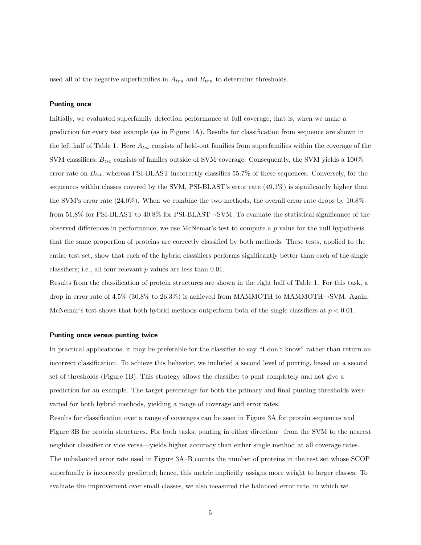used all of the negative superfamilies in  $A_{trn}$  and  $B_{trn}$  to determine thresholds.

## Punting once

Initially, we evaluated superfamily detection performance at full coverage, that is, when we make a prediction for every test example (as in Figure 1A). Results for classification from sequence are shown in the left half of Table 1. Here  $A_{tst}$  consists of held-out families from superfamilies within the coverage of the SVM classifiers;  $B_{tst}$  consists of familes outside of SVM coverage. Consequently, the SVM yields a 100% error rate on  $B_{tst}$ , whereas PSI-BLAST incorrectly classifies 55.7% of these sequences. Conversely, for the sequences within classes covered by the SVM, PSI-BLAST's error rate (49.1%) is significantly higher than the SVM's error rate (24.0%). When we combine the two methods, the overall error rate drops by 10.8% from 51.8% for PSI-BLAST to 40.8% for PSI-BLAST→SVM. To evaluate the statistical significance of the observed differences in performance, we use McNemar's test to compute a p value for the null hypothesis that the same proportion of proteins are correctly classified by both methods. These tests, applied to the entire test set, show that each of the hybrid classifiers performs significantly better than each of the single classifiers; i.e., all four relevant p values are less than 0.01.

Results from the classification of protein structures are shown in the right half of Table 1. For this task, a drop in error rate of 4.5% (30.8% to 26.3%) is achieved from MAMMOTH to MAMMOTH $\rightarrow$ SVM. Again, McNemar's test shows that both hybrid methods outperform both of the single classifiers at  $p < 0.01$ .

#### Punting once versus punting twice

In practical applications, it may be preferable for the classifier to say "I don't know" rather than return an incorrect classification. To achieve this behavior, we included a second level of punting, based on a second set of thresholds (Figure 1B). This strategy allows the classifier to punt completely and not give a prediction for an example. The target percentage for both the primary and final punting thresholds were varied for both hybrid methods, yielding a range of coverage and error rates.

Results for classification over a range of coverages can be seen in Figure 3A for protein sequences and Figure 3B for protein structures. For both tasks, punting in either direction—from the SVM to the nearest neighbor classifier or vice versa—yields higher accuracy than either single method at all coverage rates. The unbalanced error rate used in Figure 3A–B counts the number of proteins in the test set whose SCOP superfamily is incorrectly predicted; hence, this metric implicitly assigns more weight to larger classes. To evaluate the improvement over small classes, we also measured the balanced error rate, in which we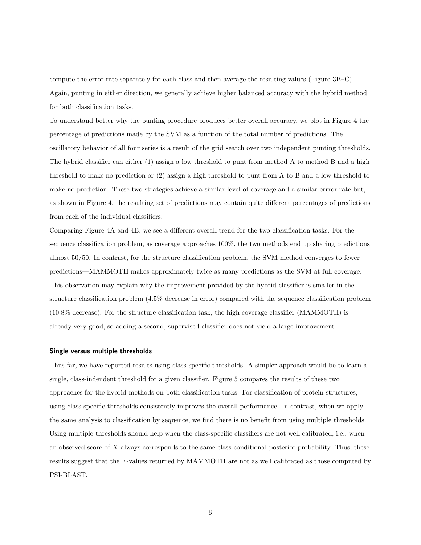compute the error rate separately for each class and then average the resulting values (Figure 3B–C). Again, punting in either direction, we generally achieve higher balanced accuracy with the hybrid method for both classification tasks.

To understand better why the punting procedure produces better overall accuracy, we plot in Figure 4 the percentage of predictions made by the SVM as a function of the total number of predictions. The oscillatory behavior of all four series is a result of the grid search over two independent punting thresholds. The hybrid classifier can either (1) assign a low threshold to punt from method A to method B and a high threshold to make no prediction or (2) assign a high threshold to punt from A to B and a low threshold to make no prediction. These two strategies achieve a similar level of coverage and a similar errror rate but, as shown in Figure 4, the resulting set of predictions may contain quite different percentages of predictions from each of the individual classifiers.

Comparing Figure 4A and 4B, we see a different overall trend for the two classification tasks. For the sequence classification problem, as coverage approaches 100%, the two methods end up sharing predictions almost 50/50. In contrast, for the structure classification problem, the SVM method converges to fewer predictions—MAMMOTH makes approximately twice as many predictions as the SVM at full coverage. This observation may explain why the improvement provided by the hybrid classifier is smaller in the structure classification problem (4.5% decrease in error) compared with the sequence classification problem (10.8% decrease). For the structure classification task, the high coverage classifier (MAMMOTH) is already very good, so adding a second, supervised classifier does not yield a large improvement.

#### Single versus multiple thresholds

Thus far, we have reported results using class-specific thresholds. A simpler approach would be to learn a single, class-indendent threshold for a given classifier. Figure 5 compares the results of these two approaches for the hybrid methods on both classification tasks. For classification of protein structures, using class-specific thresholds consistently improves the overall performance. In contrast, when we apply the same analysis to classification by sequence, we find there is no benefit from using multiple thresholds. Using multiple thresholds should help when the class-specific classifiers are not well calibrated; i.e., when an observed score of  $X$  always corresponds to the same class-conditional posterior probability. Thus, these results suggest that the E-values returned by MAMMOTH are not as well calibrated as those computed by PSI-BLAST.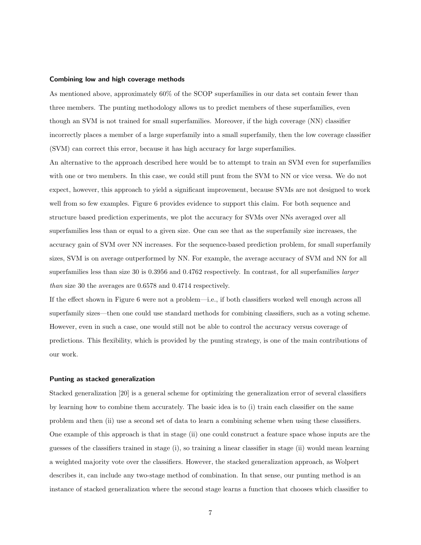#### Combining low and high coverage methods

As mentioned above, approximately 60% of the SCOP superfamilies in our data set contain fewer than three members. The punting methodology allows us to predict members of these superfamilies, even though an SVM is not trained for small superfamilies. Moreover, if the high coverage (NN) classifier incorrectly places a member of a large superfamily into a small superfamily, then the low coverage classifier (SVM) can correct this error, because it has high accuracy for large superfamilies.

An alternative to the approach described here would be to attempt to train an SVM even for superfamilies with one or two members. In this case, we could still punt from the SVM to NN or vice versa. We do not expect, however, this approach to yield a significant improvement, because SVMs are not designed to work well from so few examples. Figure 6 provides evidence to support this claim. For both sequence and structure based prediction experiments, we plot the accuracy for SVMs over NNs averaged over all superfamilies less than or equal to a given size. One can see that as the superfamily size increases, the accuracy gain of SVM over NN increases. For the sequence-based prediction problem, for small superfamily sizes, SVM is on average outperformed by NN. For example, the average accuracy of SVM and NN for all superfamilies less than size 30 is 0.3956 and 0.4762 respectively. In contrast, for all superfamilies *larger* than size 30 the averages are 0.6578 and 0.4714 respectively.

If the effect shown in Figure 6 were not a problem—i.e., if both classifiers worked well enough across all superfamily sizes—then one could use standard methods for combining classifiers, such as a voting scheme. However, even in such a case, one would still not be able to control the accuracy versus coverage of predictions. This flexibility, which is provided by the punting strategy, is one of the main contributions of our work.

#### Punting as stacked generalization

Stacked generalization [20] is a general scheme for optimizing the generalization error of several classifiers by learning how to combine them accurately. The basic idea is to (i) train each classifier on the same problem and then (ii) use a second set of data to learn a combining scheme when using these classifiers. One example of this approach is that in stage (ii) one could construct a feature space whose inputs are the guesses of the classifiers trained in stage (i), so training a linear classifier in stage (ii) would mean learning a weighted majority vote over the classifiers. However, the stacked generalization approach, as Wolpert describes it, can include any two-stage method of combination. In that sense, our punting method is an instance of stacked generalization where the second stage learns a function that chooses which classifier to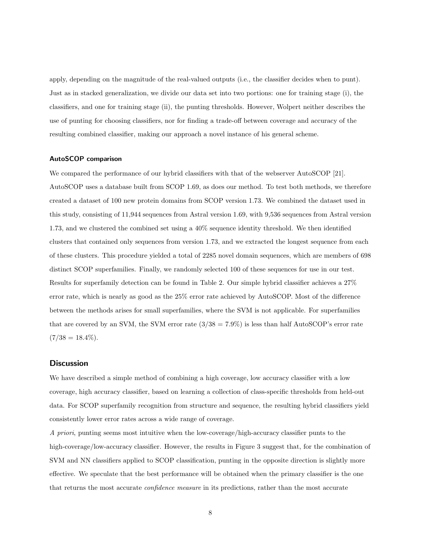apply, depending on the magnitude of the real-valued outputs (i.e., the classifier decides when to punt). Just as in stacked generalization, we divide our data set into two portions: one for training stage (i), the classifiers, and one for training stage (ii), the punting thresholds. However, Wolpert neither describes the use of punting for choosing classifiers, nor for finding a trade-off between coverage and accuracy of the resulting combined classifier, making our approach a novel instance of his general scheme.

## AutoSCOP comparison

We compared the performance of our hybrid classifiers with that of the webserver AutoSCOP [21]. AutoSCOP uses a database built from SCOP 1.69, as does our method. To test both methods, we therefore created a dataset of 100 new protein domains from SCOP version 1.73. We combined the dataset used in this study, consisting of 11,944 sequences from Astral version 1.69, with 9,536 sequences from Astral version 1.73, and we clustered the combined set using a 40% sequence identity threshold. We then identified clusters that contained only sequences from version 1.73, and we extracted the longest sequence from each of these clusters. This procedure yielded a total of 2285 novel domain sequences, which are members of 698 distinct SCOP superfamilies. Finally, we randomly selected 100 of these sequences for use in our test. Results for superfamily detection can be found in Table 2. Our simple hybrid classifier achieves a 27% error rate, which is nearly as good as the 25% error rate achieved by AutoSCOP. Most of the difference between the methods arises for small superfamilies, where the SVM is not applicable. For superfamilies that are covered by an SVM, the SVM error rate  $(3/38 = 7.9\%)$  is less than half AutoSCOP's error rate  $(7/38 = 18.4\%).$ 

## **Discussion**

We have described a simple method of combining a high coverage, low accuracy classifier with a low coverage, high accuracy classifier, based on learning a collection of class-specific thresholds from held-out data. For SCOP superfamily recognition from structure and sequence, the resulting hybrid classifiers yield consistently lower error rates across a wide range of coverage.

A priori, punting seems most intuitive when the low-coverage/high-accuracy classifier punts to the high-coverage/low-accuracy classifier. However, the results in Figure 3 suggest that, for the combination of SVM and NN classifiers applied to SCOP classification, punting in the opposite direction is slightly more effective. We speculate that the best performance will be obtained when the primary classifier is the one that returns the most accurate confidence measure in its predictions, rather than the most accurate

8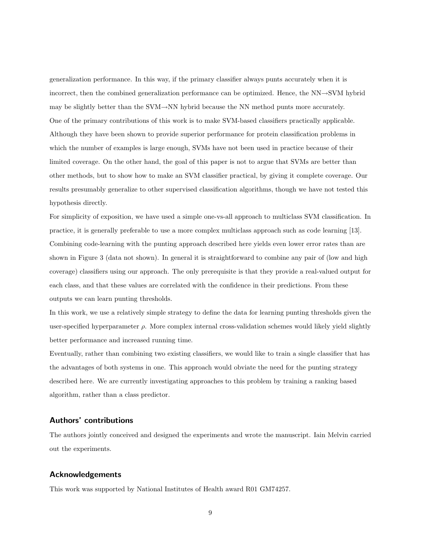generalization performance. In this way, if the primary classifier always punts accurately when it is incorrect, then the combined generalization performance can be optimized. Hence, the NN→SVM hybrid may be slightly better than the SVM→NN hybrid because the NN method punts more accurately. One of the primary contributions of this work is to make SVM-based classifiers practically applicable. Although they have been shown to provide superior performance for protein classification problems in which the number of examples is large enough, SVMs have not been used in practice because of their limited coverage. On the other hand, the goal of this paper is not to argue that SVMs are better than other methods, but to show how to make an SVM classifier practical, by giving it complete coverage. Our results presumably generalize to other supervised classification algorithms, though we have not tested this hypothesis directly.

For simplicity of exposition, we have used a simple one-vs-all approach to multiclass SVM classification. In practice, it is generally preferable to use a more complex multiclass approach such as code learning [13]. Combining code-learning with the punting approach described here yields even lower error rates than are shown in Figure 3 (data not shown). In general it is straightforward to combine any pair of (low and high coverage) classifiers using our approach. The only prerequisite is that they provide a real-valued output for each class, and that these values are correlated with the confidence in their predictions. From these outputs we can learn punting thresholds.

In this work, we use a relatively simple strategy to define the data for learning punting thresholds given the user-specified hyperparameter  $\rho$ . More complex internal cross-validation schemes would likely yield slightly better performance and increased running time.

Eventually, rather than combining two existing classifiers, we would like to train a single classifier that has the advantages of both systems in one. This approach would obviate the need for the punting strategy described here. We are currently investigating approaches to this problem by training a ranking based algorithm, rather than a class predictor.

## Authors' contributions

The authors jointly conceived and designed the experiments and wrote the manuscript. Iain Melvin carried out the experiments.

## Acknowledgements

This work was supported by National Institutes of Health award R01 GM74257.

9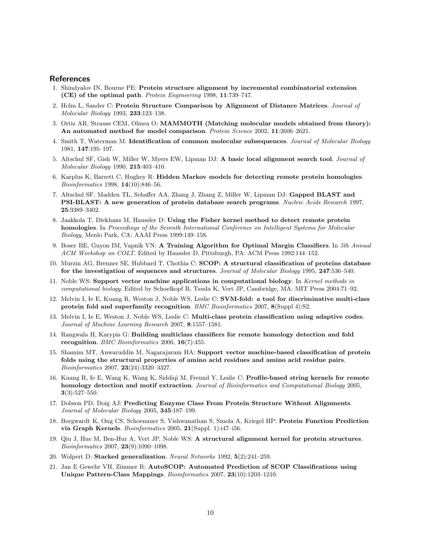## **References**

- 1. Shindyalov IN, Bourne PE: Protein structure alignment by incremental combinatorial extension (CE) of the optimal path. Protein Engineering 1998, 11:739–747.
- 2. Holm L, Sander C: Protein Structure Comparison by Alignment of Distance Matrices. Journal of Molecular Biology 1993, 233:123–138.
- 3. Ortiz AR, Strauss CEM, Olmea O: MAMMOTH (Matching molecular models obtained from theory): An automated method for model comparison. Protein Science 2002, 11:2606-2621.
- 4. Smith T, Waterman M: Identification of common molecular subsequences. Journal of Molecular Biology 1981, 147:195–197.
- 5. Altschul SF, Gish W, Miller W, Myers EW, Lipman DJ: A basic local alignment search tool. Journal of Molecular Biology 1990, 215:403–410.
- 6. Karplus K, Barrett C, Hughey R: Hidden Markov models for detecting remote protein homologies. Bioinformatics 1998, 14(10):846–56.
- 7. Altschul SF, Madden TL, Schaffer AA, Zhang J, Zhang Z, Miller W, Lipman DJ: Gapped BLAST and PSI-BLAST: A new generation of protein database search programs. Nucleic Acids Research 1997, 25:3389–3402.
- 8. Jaakkola T, Diekhans M, Haussler D: Using the Fisher kernel method to detect remote protein homologies. In Proceedings of the Seventh International Conference on Intelligent Systems for Molecular Biology, Menlo Park, CA: AAAI Press 1999:149–158.
- 9. Boser BE, Guyon IM, Vapnik VN: A Training Algorithm for Optimal Margin Classifiers. In 5th Annual ACM Workshop on COLT. Edited by Haussler D, Pittsburgh, PA: ACM Press 1992:144–152.
- 10. Murzin AG, Brenner SE, Hubbard T, Chothia C: SCOP: A structural classification of proteins database for the investigation of sequences and structures. Journal of Molecular Biology 1995, 247:536–540.
- 11. Noble WS: Support vector machine applications in computational biology. In Kernel methods in computational biology. Edited by Schoelkopf B, Tsuda K, Vert JP, Cambridge, MA: MIT Press 2004:71–92.
- 12. Melvin I, Ie E, Kuang R, Weston J, Noble WS, Leslie C: SVM-fold: a tool for discriminative multi-class protein fold and superfamily recognition. BMC Bioinformatics 2007, 8(Suppl 4):S2.
- 13. Melvin I, Ie E, Weston J, Noble WS, Leslie C: Multi-class protein classification using adaptive codes. Journal of Machine Learning Research 2007, 8:1557–1581.
- 14. Rangwala H, Karypis G: Building multiclass classifiers for remote homology detection and fold recognition. BMC Bioinformatics 2006, 16(7):455.
- 15. Shamim MT, Anwaruddin M, Nagarajaram HA: Support vector machine-based classification of protein folds using the structural properties of amino acid residues and amino acid residue pairs. Bioinformatics 2007, 23(24):3320–3327.
- 16. Kuang R, Ie E, Wang K, Wang K, Siddiqi M, Freund Y, Leslie C: Profile-based string kernels for remote homology detection and motif extraction. Journal of Bioinformatics and Computational Biology 2005, 3(3):527–550.
- 17. Dobson PD, Doig AJ: Predicting Enzyme Class From Protein Structure Without Alignments. Journal of Molecular Biology 2005, 345:187–199.
- 18. Borgwardt K, Ong CS, Schoenauer S, Vishwanathan S, Smola A, Kriegel HP: Protein Function Prediction via Graph Kernels. Bioinformatics 2005, 21(Suppl. 1):i47–i56.
- 19. Qiu J, Hue M, Ben-Hur A, Vert JP, Noble WS: A structural alignment kernel for protein structures. Bioinformatics 2007, 23(9):1090–1098.
- 20. Wolpert D: Stacked generalization. Neural Networks 1992, 5(2):241–259.
- 21. Jan E Gewehr VH, Zimmer R: AutoSCOP: Automated Prediction of SCOP Classifications using Unique Pattern-Class Mappings. Bioinformatics 2007, 23(10):1203–1210.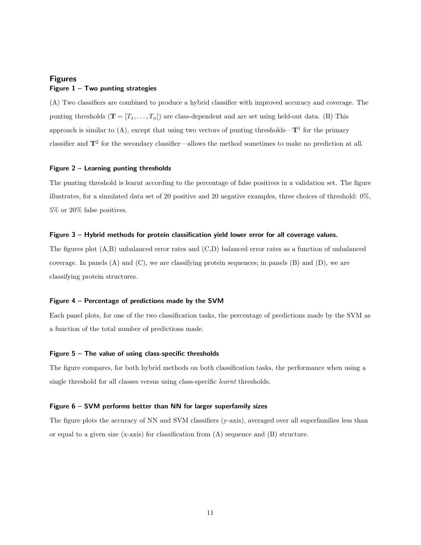# Figures Figure  $1 - Two$  punting strategies

(A) Two classifiers are combined to produce a hybrid classifier with improved accuracy and coverage. The punting thresholds  $(\mathbf{T} = [T_1, \ldots, T_n])$  are class-dependent and are set using held-out data. (B) This approach is similar to  $(A)$ , except that using two vectors of punting thresholds— $T<sup>1</sup>$  for the primary classifier and  $T^2$  for the secondary classifier—allows the method sometimes to make no prediction at all.

#### Figure 2 – Learning punting thresholds

The punting threshold is learnt according to the percentage of false positives in a validation set. The figure illustrates, for a simulated data set of 20 positive and 20 negative examples, three choices of threshold: 0%, 5% or 20% false positives.

## Figure 3 – Hybrid methods for protein classification yield lower error for all coverage values.

The figures plot (A,B) unbalanced error rates and (C,D) balanced error rates as a function of unbalanced coverage. In panels  $(A)$  and  $(C)$ , we are classifying protein sequences; in panels  $(B)$  and  $(D)$ , we are classifying protein structures.

#### Figure 4 – Percentage of predictions made by the SVM

Each panel plots, for one of the two classification tasks, the percentage of predictions made by the SVM as a function of the total number of predictions made.

### Figure  $5 -$  The value of using class-specific thresholds

The figure compares, for both hybrid methods on both classification tasks, the performance when using a single threshold for all classes versus using class-specific learnt thresholds.

### Figure 6 – SVM performs better than NN for larger superfamily sizes

The figure plots the accuracy of NN and SVM classifiers (y-axis), averaged over all superfamilies less than or equal to a given size  $(x-axis)$  for classification from  $(A)$  sequence and  $(B)$  structure.